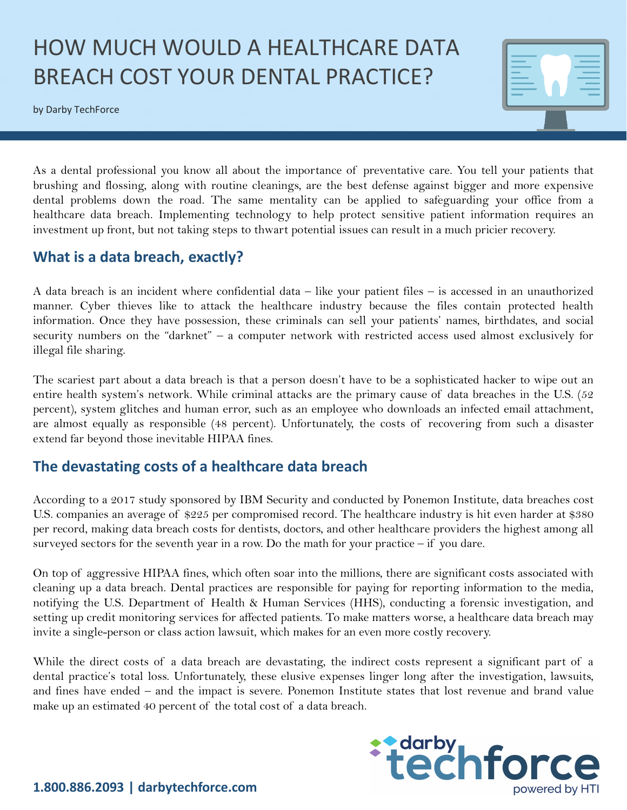# HOW MUCH WOULD A HEALTHCARE DATA BREACH COST YOUR DENTAL PRACTICE?

by Darby TechForce



As a dental professional you know all about the importance of preventative care. You tell your patients that brushing and flossing, along with routine cleanings, are the best defense against bigger and more expensive dental problems down the road. The same mentality can be applied to safeguarding your office from a healthcare data breach. Implementing technology to help protect sensitive patient information requires an investment up front, but not taking steps to thwart potential issues can result in a much pricier recovery.

#### **What is a data breach, exactly?**

A data breach is an incident where confidential data – like your patient files – is accessed in an unauthorized manner. Cyber thieves like to attack the healthcare industry because the files contain protected health information. Once they have possession, these criminals can sell your patients' names, birthdates, and social security numbers on the "darknet" – a computer network with restricted access used almost exclusively for illegal file sharing.

The scariest part about a data breach is that a person doesn't have to be a sophisticated hacker to wipe out an entire health system's network. While criminal attacks are the primary cause of data breaches in the U.S. (52 percent), system glitches and human error, such as an employee who downloads an infected email attachment, are almost equally as responsible (48 percent). Unfortunately, the costs of recovering from such a disaster extend far beyond those inevitable HIPAA fines.

## **The devastating costs of a healthcare data breach**

According to a 2017 study sponsored by IBM Security and conducted by Ponemon Institute, data breaches cost U.S. companies an average of \$225 per compromised record. The healthcare industry is hit even harder at \$380 per record, making data breach costs for dentists, doctors, and other healthcare providers the highest among all surveyed sectors for the seventh year in a row. Do the math for your practice – if you dare.

On top of aggressive HIPAA fines, which often soar into the millions, there are significant costs associated with cleaning up a data breach. Dental practices are responsible for paying for reporting information to the media, notifying the U.S. Department of Health & Human Services (HHS), conducting a forensic investigation, and setting up credit monitoring services for affected patients. To make matters worse, a healthcare data breach may invite a single-person or class action lawsuit, which makes for an even more costly recovery.

While the direct costs of a data breach are devastating, the indirect costs represent a significant part of a dental practice's total loss. Unfortunately, these elusive expenses linger long after the investigation, lawsuits, and fines have ended – and the impact is severe. Ponemon Institute states that lost revenue and brand value make up an estimated 40 percent of the total cost of a data breach.